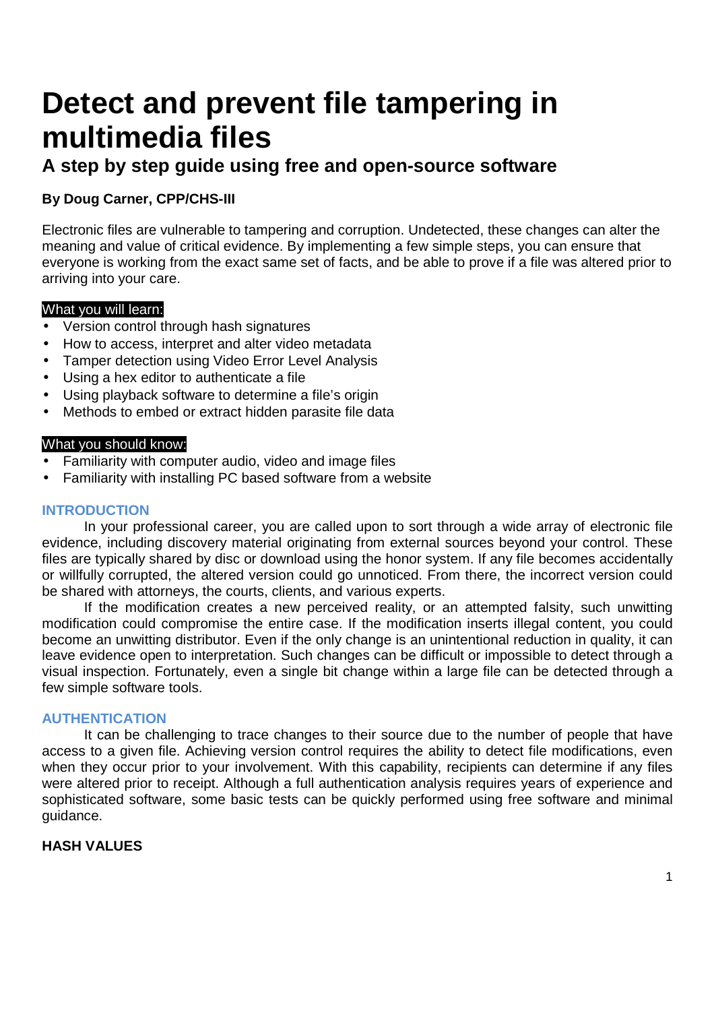# **Detect and prevent file tampering in multimedia files**

# **A step by step guide using free and open-source software**

# **By Doug Carner, CPP/CHS-III**

Electronic files are vulnerable to tampering and corruption. Undetected, these changes can alter the meaning and value of critical evidence. By implementing a few simple steps, you can ensure that everyone is working from the exact same set of facts, and be able to prove if a file was altered prior to arriving into your care.

# What you will learn:

- Version control through hash signatures
- How to access, interpret and alter video metadata
- Tamper detection using Video Error Level Analysis
- Using a hex editor to authenticate a file
- Using playback software to determine a file's origin
- Methods to embed or extract hidden parasite file data

# What you should know:

- Familiarity with computer audio, video and image files
- Familiarity with installing PC based software from a website

# **INTRODUCTION**

In your professional career, you are called upon to sort through a wide array of electronic file evidence, including discovery material originating from external sources beyond your control. These files are typically shared by disc or download using the honor system. If any file becomes accidentally or willfully corrupted, the altered version could go unnoticed. From there, the incorrect version could be shared with attorneys, the courts, clients, and various experts.

If the modification creates a new perceived reality, or an attempted falsity, such unwitting modification could compromise the entire case. If the modification inserts illegal content, you could become an unwitting distributor. Even if the only change is an unintentional reduction in quality, it can leave evidence open to interpretation. Such changes can be difficult or impossible to detect through a visual inspection. Fortunately, even a single bit change within a large file can be detected through a few simple software tools.

# **AUTHENTICATION**

It can be challenging to trace changes to their source due to the number of people that have access to a given file. Achieving version control requires the ability to detect file modifications, even when they occur prior to your involvement. With this capability, recipients can determine if any files were altered prior to receipt. Although a full authentication analysis requires years of experience and sophisticated software, some basic tests can be quickly performed using free software and minimal guidance.

# **HASH VALUES**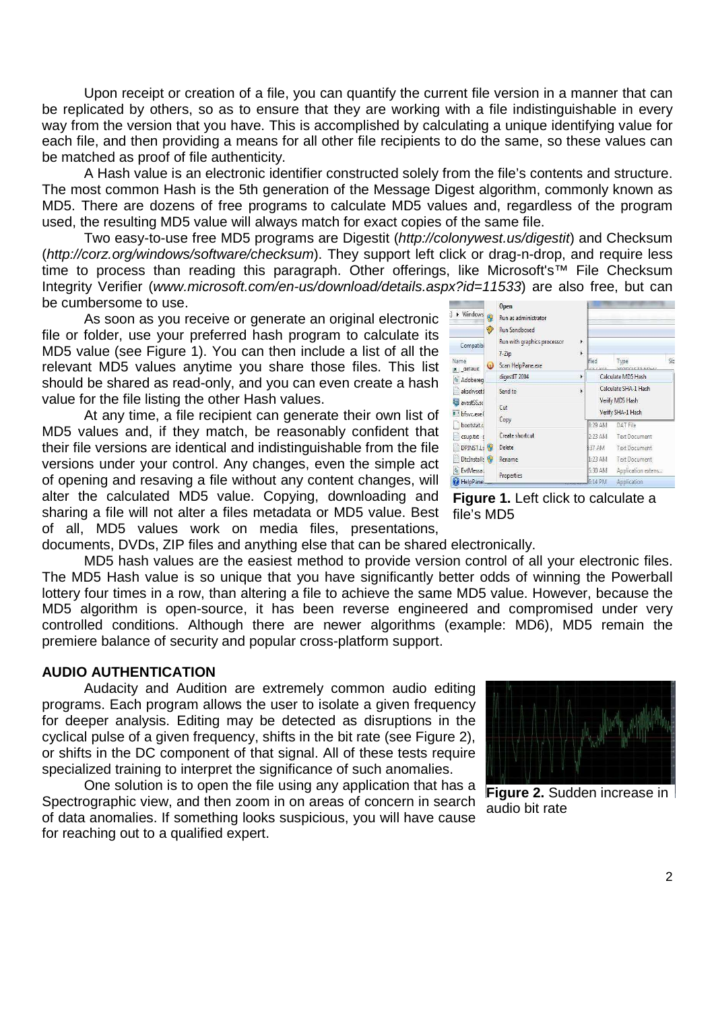Upon receipt or creation of a file, you can quantify the current file version in a manner that can be replicated by others, so as to ensure that they are working with a file indistinguishable in every way from the version that you have. This is accomplished by calculating a unique identifying value for each file, and then providing a means for all other file recipients to do the same, so these values can be matched as proof of file authenticity.

A Hash value is an electronic identifier constructed solely from the file's contents and structure. The most common Hash is the 5th generation of the Message Digest algorithm, commonly known as MD5. There are dozens of free programs to calculate MD5 values and, regardless of the program used, the resulting MD5 value will always match for exact copies of the same file.

Two easy-to-use free MD5 programs are Digestit (http://colonywest.us/digestit) and Checksum (http://corz.org/windows/software/checksum). They support left click or drag-n-drop, and require less time to process than reading this paragraph. Other offerings, like Microsoft's™ File Checksum Integrity Verifier (www.microsoft.com/en-us/download/details.aspx?id=11533) are also free, but can be cumbersome to use.

As soon as you receive or generate an original electronic file or folder, use your preferred hash program to calculate its MD5 value (see Figure 1). You can then include a list of all the relevant MD5 values anytime you share those files. This list should be shared as read-only, and you can even create a hash value for the file listing the other Hash values.

At any time, a file recipient can generate their own list of MD5 values and, if they match, be reasonably confident that their file versions are identical and indistinguishable from the file versions under your control. Any changes, even the simple act of opening and resaving a file without any content changes, will alter the calculated MD5 value. Copying, downloading and **Figure 1.** Left click to calculate a sharing a file will not alter a files metadata or MD5 value. Best file's MD5 of all, MD5 values work on media files, presentations,

| Windows<br>ą)<br>Compatibi<br>Name | 0<br>❤<br>$\bullet$ | Open<br>Run as administrator<br><b>Run Sandboxed</b><br>Run with graphics processor<br>$7 - Zip$<br>Scan HelpPane.exe | Siz<br>Ified<br>Type<br>IF TO BESALE |                                      |  |  |  |  |
|------------------------------------|---------------------|-----------------------------------------------------------------------------------------------------------------------|--------------------------------------|--------------------------------------|--|--|--|--|
| all_derault<br>Adobereg            |                     | digestIT 2004                                                                                                         | ¥                                    | Calculate MD5 Hash                   |  |  |  |  |
| aksdrvset1                         |                     | Send to                                                                                                               | ¥                                    | Calculate SHA-1 Hash                 |  |  |  |  |
| avastSS.so<br>bfsyc.exe(           |                     | Cut                                                                                                                   |                                      | Verify MD5 Hash<br>Verify SHA-1 Hash |  |  |  |  |
| bootstat.c                         |                     | Copy                                                                                                                  |                                      | 8:29 AM<br>DAT File                  |  |  |  |  |
| csup.txt c                         |                     | Create shortcut                                                                                                       |                                      | 2:23 AM<br><b>Text Document</b>      |  |  |  |  |
| DPINST.Ls                          |                     | Delete                                                                                                                |                                      | :37 AM<br><b>Text Document</b>       |  |  |  |  |
| DtcInstall:                        |                     | Rename                                                                                                                |                                      | 1:23 AM<br>Text Document             |  |  |  |  |
| EvtMessa.                          |                     |                                                                                                                       |                                      | 5:30 AM<br>Application extens        |  |  |  |  |
| HelpPane.                          |                     | Properties                                                                                                            |                                      | $6.14$ PM<br>Application             |  |  |  |  |

documents, DVDs, ZIP files and anything else that can be shared electronically.

MD5 hash values are the easiest method to provide version control of all your electronic files. The MD5 Hash value is so unique that you have significantly better odds of winning the Powerball lottery four times in a row, than altering a file to achieve the same MD5 value. However, because the MD5 algorithm is open-source, it has been reverse engineered and compromised under very controlled conditions. Although there are newer algorithms (example: MD6), MD5 remain the premiere balance of security and popular cross-platform support.

#### **AUDIO AUTHENTICATION**

Audacity and Audition are extremely common audio editing programs. Each program allows the user to isolate a given frequency for deeper analysis. Editing may be detected as disruptions in the cyclical pulse of a given frequency, shifts in the bit rate (see Figure 2), or shifts in the DC component of that signal. All of these tests require specialized training to interpret the significance of such anomalies.

One solution is to open the file using any application that has a Spectrographic view, and then zoom in on areas of concern in search of data anomalies. If something looks suspicious, you will have cause for reaching out to a qualified expert.



**Figure 2.** Sudden increase in audio bit rate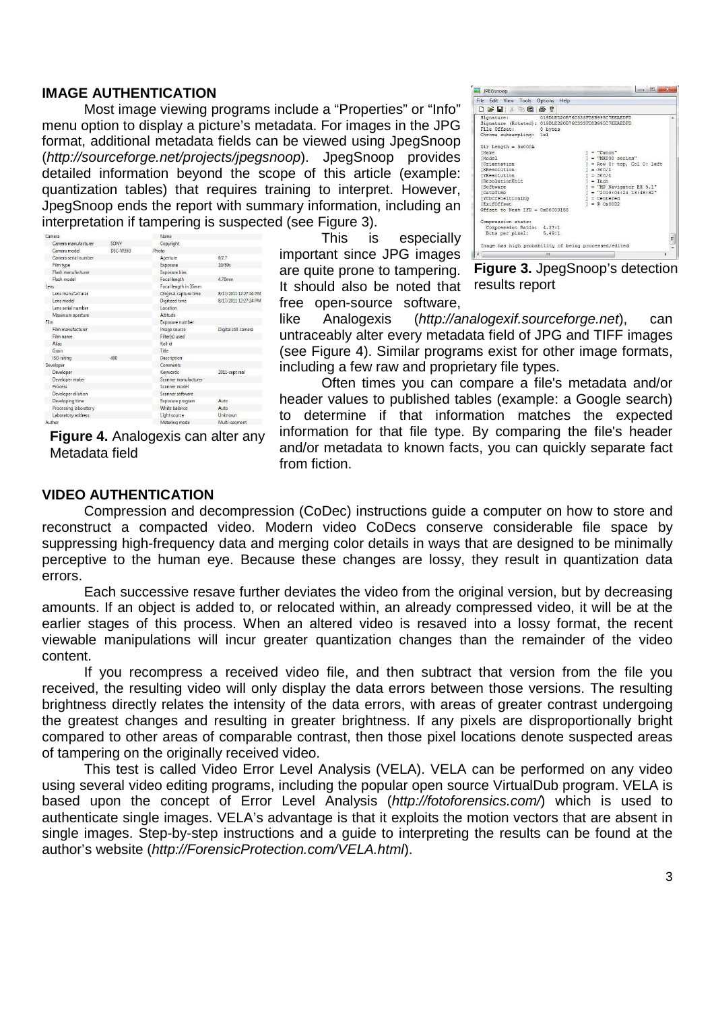#### **IMAGE AUTHENTICATION**

Most image viewing programs include a "Properties" or "Info" menu option to display a picture's metadata. For images in the JPG format, additional metadata fields can be viewed using JpegSnoop (http://sourceforge.net/projects/jpegsnoop). JpegSnoop provides detailed information beyond the scope of this article (example: quantization tables) that requires training to interpret. However, JpegSnoop ends the report with summary information, including an interpretation if tampering is suspected (see Figure 3).

| Camera                |          | Name                                    |                       |  |  |  |  |  |  |
|-----------------------|----------|-----------------------------------------|-----------------------|--|--|--|--|--|--|
| Camera manufacturer   | SONY     | Copyright                               |                       |  |  |  |  |  |  |
| Camera model          | DSC-W350 | Photo                                   |                       |  |  |  |  |  |  |
| Camera serial number  |          | f/2.7<br>Aperture                       |                       |  |  |  |  |  |  |
| Film type             |          | Exposure                                | 10/80s                |  |  |  |  |  |  |
| Flash manufacturer    |          | Exposure bias                           |                       |  |  |  |  |  |  |
| Flash model           |          | Focal length                            | 470mm                 |  |  |  |  |  |  |
| lens                  |          | Focal length in 35mm                    |                       |  |  |  |  |  |  |
| Lens manufacturer     |          | Original capture time                   | 8/17/2011 12:27:24 PM |  |  |  |  |  |  |
| Lens model            |          | Digitized time<br>8/17/2011 12:27:24 PM |                       |  |  |  |  |  |  |
| Lens serial number    |          | Location                                |                       |  |  |  |  |  |  |
| Maximum aperture      |          | Altitude                                |                       |  |  |  |  |  |  |
| Film                  |          | Exposure number                         |                       |  |  |  |  |  |  |
| Film manufacturer     |          | Image source                            | Digital still camera  |  |  |  |  |  |  |
| Film name             |          | Filter(s) used                          |                       |  |  |  |  |  |  |
| Alias                 |          | Roll id                                 |                       |  |  |  |  |  |  |
| Grain                 |          | Title                                   |                       |  |  |  |  |  |  |
| <b>ISO</b> rating     | 400      | <b>Description</b>                      |                       |  |  |  |  |  |  |
| Developer             |          | Comments                                |                       |  |  |  |  |  |  |
| Developer             |          | Keywords                                | 2011-sept real        |  |  |  |  |  |  |
| Developer maker       |          | Scanner manufacturer                    |                       |  |  |  |  |  |  |
| Process               |          | Scanner model                           |                       |  |  |  |  |  |  |
| Developer dilution    |          | Scanner software                        |                       |  |  |  |  |  |  |
| Developing time       |          | Exposure program                        | Auto                  |  |  |  |  |  |  |
| Processing laboratory |          | White balance                           | Auto                  |  |  |  |  |  |  |
| Laboratory address    |          | Light source                            | Unknown               |  |  |  |  |  |  |
| Author                |          | Metering mode                           | Multi-seament         |  |  |  |  |  |  |

**Figure 4.** Analogexis can alter any Metadata field

Example of the state of the contract of the contract of the contract (Social Signature:<br>
Signature: (Social Signature: 01901ED20876C333FD8B995C7EEAEDFD<br>
Signature: (Social Signature: 01901ED20876C333FD8B995C7EEAEDFD<br>
She C Dir Length =  $0x000A$ Dir Length = 0x000.<br>[Make<br>[(Model<br>Crientation<br>[XResolution<br>[YResolution]<br>[(Resolution]<br>[Software<br>[(NCC-Pose)<br>[VRCC-Pose]<br>[VRCC-Pose]<br>[VRCC-Pose]<br>[VRCC-Pose] = "Canon"<br>= "MX890 series"<br>= Row 0: top, Col 0: left<br>= 300/1<br>= Jack 1<br>= 400/1 "MP Navigator EX 5.1"<br>"2013:04:24 13:48:32"<br>Centered Centered [ExifOffset<br>[ExifOffset<br>Offset to Next IFD = 0x00000158 Compression stats:<br>
Compression Ratio: 4.37:1<br>
Bits per pixel: 5.49:1 This is especially Image has high probability of being processed/edited important since JPG images are quite prone to tampering.

JPEGsnoop

Edit View Tools D G M & B 8 6 ?

**Figure 3.** JpegSnoop's detection results report

like Analogexis (http://analogexif.sourceforge.net), can untraceably alter every metadata field of JPG and TIFF images (see Figure 4). Similar programs exist for other image formats, including a few raw and proprietary file types.

Often times you can compare a file's metadata and/or header values to published tables (example: a Google search) to determine if that information matches the expected information for that file type. By comparing the file's header and/or metadata to known facts, you can quickly separate fact from fiction.

#### **VIDEO AUTHENTICATION**

Compression and decompression (CoDec) instructions guide a computer on how to store and reconstruct a compacted video. Modern video CoDecs conserve considerable file space by suppressing high-frequency data and merging color details in ways that are designed to be minimally perceptive to the human eye. Because these changes are lossy, they result in quantization data errors.

It should also be noted that free open-source software,

Each successive resave further deviates the video from the original version, but by decreasing amounts. If an object is added to, or relocated within, an already compressed video, it will be at the earlier stages of this process. When an altered video is resaved into a lossy format, the recent viewable manipulations will incur greater quantization changes than the remainder of the video content.

If you recompress a received video file, and then subtract that version from the file you received, the resulting video will only display the data errors between those versions. The resulting brightness directly relates the intensity of the data errors, with areas of greater contrast undergoing the greatest changes and resulting in greater brightness. If any pixels are disproportionally bright compared to other areas of comparable contrast, then those pixel locations denote suspected areas of tampering on the originally received video.

This test is called Video Error Level Analysis (VELA). VELA can be performed on any video using several video editing programs, including the popular open source VirtualDub program. VELA is based upon the concept of Error Level Analysis (http://fotoforensics.com/) which is used to authenticate single images. VELA's advantage is that it exploits the motion vectors that are absent in single images. Step-by-step instructions and a guide to interpreting the results can be found at the author's website (http://ForensicProtection.com/VELA.html).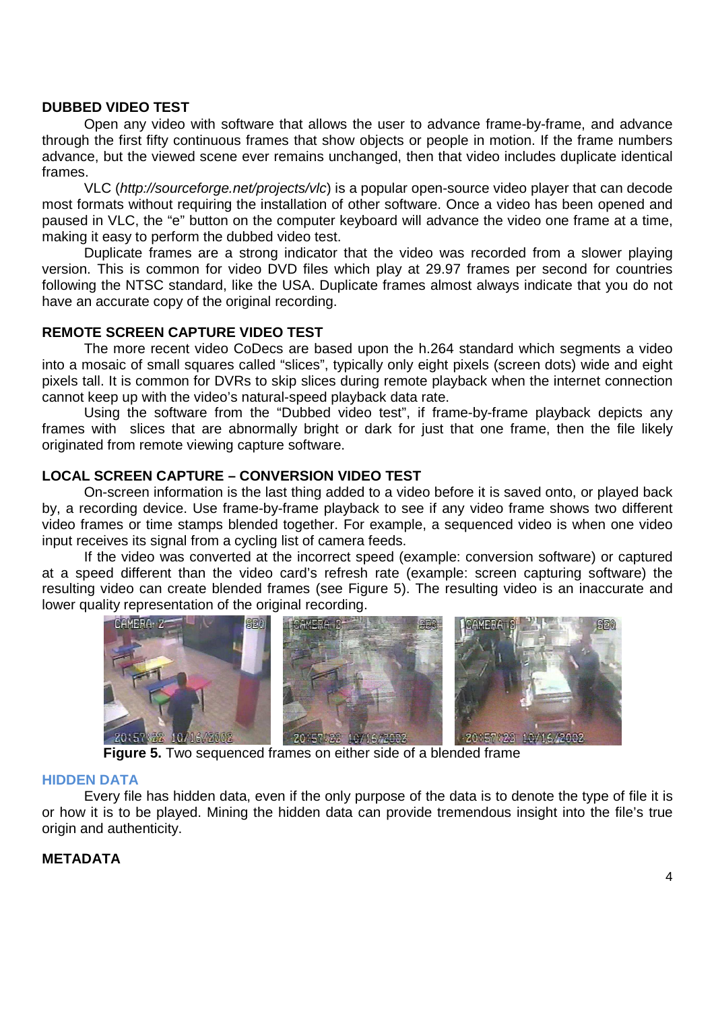#### **DUBBED VIDEO TEST**

Open any video with software that allows the user to advance frame-by-frame, and advance through the first fifty continuous frames that show objects or people in motion. If the frame numbers advance, but the viewed scene ever remains unchanged, then that video includes duplicate identical frames.

VLC (http://sourceforge.net/projects/vlc) is a popular open-source video player that can decode most formats without requiring the installation of other software. Once a video has been opened and paused in VLC, the "e" button on the computer keyboard will advance the video one frame at a time, making it easy to perform the dubbed video test.

Duplicate frames are a strong indicator that the video was recorded from a slower playing version. This is common for video DVD files which play at 29.97 frames per second for countries following the NTSC standard, like the USA. Duplicate frames almost always indicate that you do not have an accurate copy of the original recording.

# **REMOTE SCREEN CAPTURE VIDEO TEST**

The more recent video CoDecs are based upon the h.264 standard which segments a video into a mosaic of small squares called "slices", typically only eight pixels (screen dots) wide and eight pixels tall. It is common for DVRs to skip slices during remote playback when the internet connection cannot keep up with the video's natural-speed playback data rate.

Using the software from the "Dubbed video test", if frame-by-frame playback depicts any frames with slices that are abnormally bright or dark for just that one frame, then the file likely originated from remote viewing capture software.

#### **LOCAL SCREEN CAPTURE – CONVERSION VIDEO TEST**

On-screen information is the last thing added to a video before it is saved onto, or played back by, a recording device. Use frame-by-frame playback to see if any video frame shows two different video frames or time stamps blended together. For example, a sequenced video is when one video input receives its signal from a cycling list of camera feeds.

If the video was converted at the incorrect speed (example: conversion software) or captured at a speed different than the video card's refresh rate (example: screen capturing software) the resulting video can create blended frames (see Figure 5). The resulting video is an inaccurate and lower quality representation of the original recording.



**Figure 5.** Two sequenced frames on either side of a blended frame

#### **HIDDEN DATA**

Every file has hidden data, even if the only purpose of the data is to denote the type of file it is or how it is to be played. Mining the hidden data can provide tremendous insight into the file's true origin and authenticity.

# **METADATA**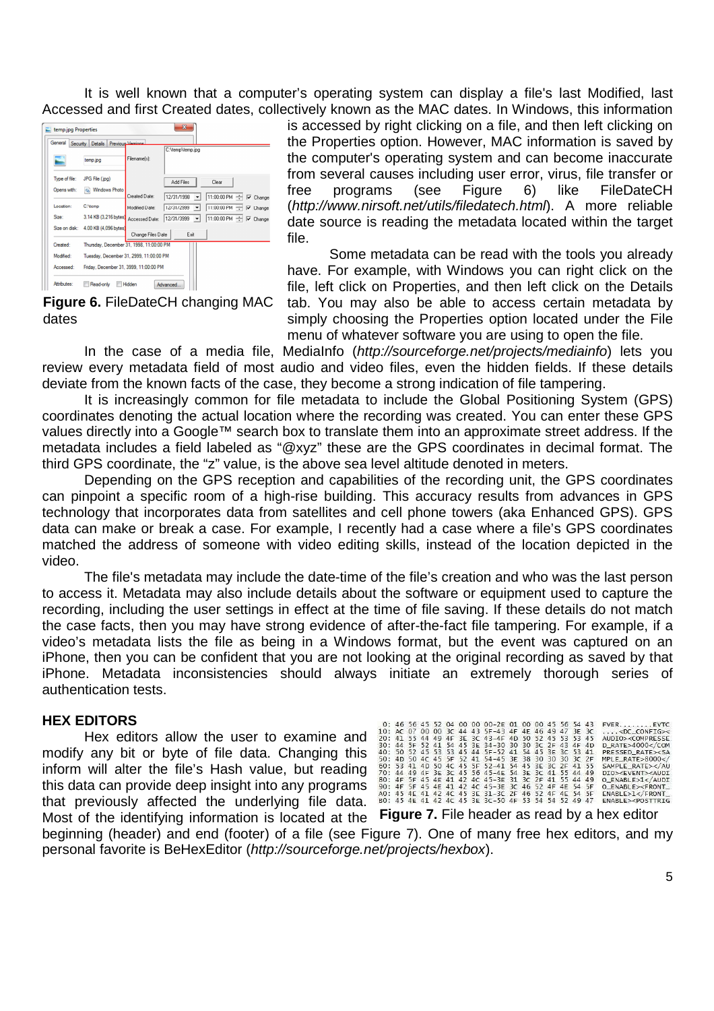It is well known that a computer's operating system can display a file's last Modified, last Accessed and first Created dates, collectively known as the MAC dates. In Windows, this information



is accessed by right clicking on a file, and then left clicking on the Properties option. However, MAC information is saved by the computer's operating system and can become inaccurate from several causes including user error, virus, file transfer or free programs (see Figure 6) like FileDateCH (http://www.nirsoft.net/utils/filedatech.html). A more reliable date source is reading the metadata located within the target file.

Some metadata can be read with the tools you already have. For example, with Windows you can right click on the file, left click on Properties, and then left click on the Details

**Figure 6.** FileDateCH changing MAC dates

tab. You may also be able to access certain metadata by simply choosing the Properties option located under the File menu of whatever software you are using to open the file.

In the case of a media file, MediaInfo (http://sourceforge.net/projects/mediainfo) lets you review every metadata field of most audio and video files, even the hidden fields. If these details deviate from the known facts of the case, they become a strong indication of file tampering.

It is increasingly common for file metadata to include the Global Positioning System (GPS) coordinates denoting the actual location where the recording was created. You can enter these GPS values directly into a Google™ search box to translate them into an approximate street address. If the metadata includes a field labeled as "@xyz" these are the GPS coordinates in decimal format. The third GPS coordinate, the "z" value, is the above sea level altitude denoted in meters.

Depending on the GPS reception and capabilities of the recording unit, the GPS coordinates can pinpoint a specific room of a high-rise building. This accuracy results from advances in GPS technology that incorporates data from satellites and cell phone towers (aka Enhanced GPS). GPS data can make or break a case. For example, I recently had a case where a file's GPS coordinates matched the address of someone with video editing skills, instead of the location depicted in the video.

The file's metadata may include the date-time of the file's creation and who was the last person to access it. Metadata may also include details about the software or equipment used to capture the recording, including the user settings in effect at the time of file saving. If these details do not match the case facts, then you may have strong evidence of after-the-fact file tampering. For example, if a video's metadata lists the file as being in a Windows format, but the event was captured on an iPhone, then you can be confident that you are not looking at the original recording as saved by that iPhone. Metadata inconsistencies should always initiate an extremely thorough series of authentication tests.

# **HEX EDITORS**

Hex editors allow the user to examine and modify any bit or byte of file data. Changing this inform will alter the file's Hash value, but reading this data can provide deep insight into any programs that previously affected the underlying file data.

|  |  |  |  | 0: 46 56 45 52 04 00 00 00-2E 01 00 00 45 56 54 43  |  |  |  | $FVER$ $EVTC$                             |
|--|--|--|--|-----------------------------------------------------|--|--|--|-------------------------------------------|
|  |  |  |  | 10: AC 07 00 00 3C 44 43 5F-43 4F 4E 46 49 47 3E 3C |  |  |  | $\ldots$ <dc config="">&lt;</dc>          |
|  |  |  |  | 20: 41 55 44 49 4F 3E 3C 43-4F 4D 50 52 45 53 53 45 |  |  |  | AUDIO> <compresse< td=""></compresse<>    |
|  |  |  |  | 30: 44 5F 52 41 54 45 3E 34-30 30 30 3C 2F 43 4F 4D |  |  |  | D_RATE>4000                               |
|  |  |  |  | 40: 50 52 45 53 53 45 44 5F-52 41 54 45 3E 3C 53 41 |  |  |  | PRESSED RATE> <sa< td=""></sa<>           |
|  |  |  |  | 50: 4D 50 4C 45 5F 52 41 54-45 3E 38 30 30 30 3C 2F |  |  |  | MPLE RATE>8000 </td                       |
|  |  |  |  | 60: 53 41 4D 50 4C 45 5F 52-41 54 45 3E 3C 2F 41 55 |  |  |  | SAMPLE RATE>                              |
|  |  |  |  | 70: 44 49 4F 3E 3C 45 56 45-4E 54 3E 3C 41 55 44 49 |  |  |  | DTO> <fvfnt><audt< td=""></audt<></fvfnt> |
|  |  |  |  | 80: 4F 5F 45 4E 41 42 4C 45-3E 31 3C 2F 41 55 44 49 |  |  |  | O ENABLE>1                                |
|  |  |  |  | 90: 4F 5F 45 4E 41 42 4C 45-3E 3C 46 52 4F 4E 54 5F |  |  |  | O ENABLE> <front< td=""></front<>         |
|  |  |  |  | AO: 45 4E 41 42 4C 45 3E 31-3C 2F 46 52 4F 4E 54 5F |  |  |  | $ENABLE > 1$ < $/$ FRONT                  |
|  |  |  |  | BO: 45 4E 41 42 4C 45 3E 3C-50 4F 53 54 54 52 49 47 |  |  |  | ENABLE> <posttrig< td=""></posttrig<>     |
|  |  |  |  |                                                     |  |  |  |                                           |

Most of the identifying information is located at the **Figure 7.** File header as read by a hex editorbeginning (header) and end (footer) of a file (see Figure 7). One of many free hex editors, and my personal favorite is BeHexEditor (http://sourceforge.net/projects/hexbox).